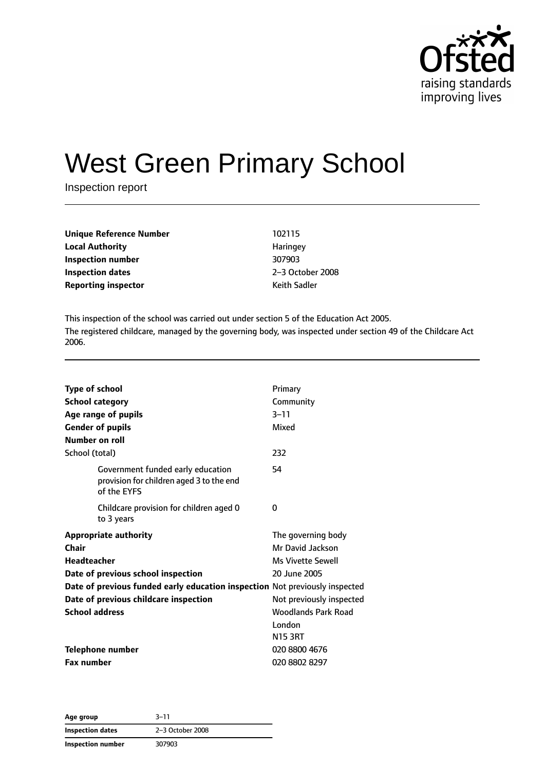

# West Green Primary School

Inspection report

| <b>Unique Reference Number</b> | 102115              |
|--------------------------------|---------------------|
| <b>Local Authority</b>         | Haringey            |
| Inspection number              | 307903              |
| <b>Inspection dates</b>        | 2-3 October         |
| <b>Reporting inspector</b>     | <b>Keith Sadler</b> |

**Local Authority** Haringey **Inspection number** 307903 **Inspection dates** 2–3 October 2008

This inspection of the school was carried out under section 5 of the Education Act 2005. The registered childcare, managed by the governing body, was inspected under section 49 of the Childcare Act 2006.

| <b>Type of school</b><br><b>School category</b><br>Age range of pupils                       | Primary<br>Community<br>$3 - 11$                                   |
|----------------------------------------------------------------------------------------------|--------------------------------------------------------------------|
| <b>Gender of pupils</b><br>Number on roll                                                    | Mixed                                                              |
| School (total)                                                                               | 232                                                                |
| Government funded early education<br>provision for children aged 3 to the end<br>of the EYFS | 54                                                                 |
| Childcare provision for children aged 0<br>to 3 years                                        | 0                                                                  |
| <b>Appropriate authority</b><br>Chair<br><b>Headteacher</b>                                  | The governing body<br>Mr David Jackson<br><b>Ms Vivette Sewell</b> |
| Date of previous school inspection                                                           | 20 June 2005                                                       |
| Date of previous funded early education inspection Not previously inspected                  |                                                                    |
| Date of previous childcare inspection                                                        | Not previously inspected                                           |
| <b>School address</b>                                                                        | <b>Woodlands Park Road</b>                                         |
|                                                                                              | London                                                             |
|                                                                                              | <b>N15 3RT</b>                                                     |
| <b>Telephone number</b>                                                                      | 020 8800 4676                                                      |
| <b>Fax number</b>                                                                            | 020 8802 8297                                                      |

**Age group** 3–11 **Inspection dates** 2–3 October 2008 **Inspection number** 307903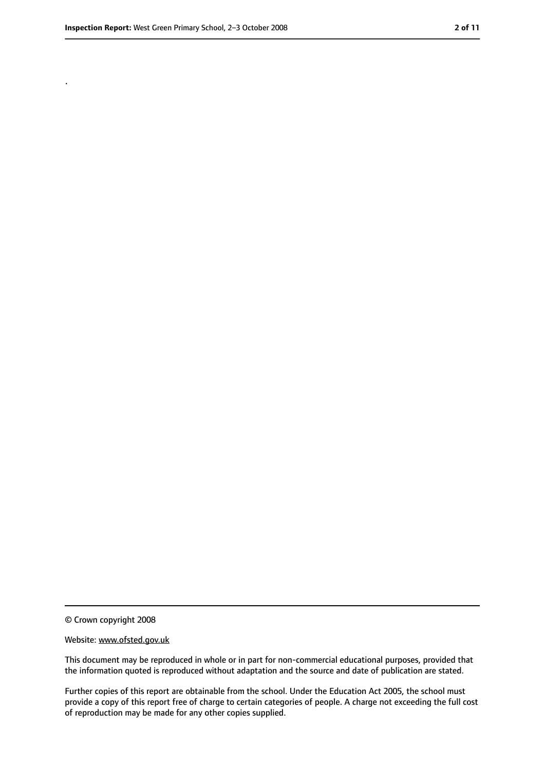.

<sup>©</sup> Crown copyright 2008

Website: www.ofsted.gov.uk

This document may be reproduced in whole or in part for non-commercial educational purposes, provided that the information quoted is reproduced without adaptation and the source and date of publication are stated.

Further copies of this report are obtainable from the school. Under the Education Act 2005, the school must provide a copy of this report free of charge to certain categories of people. A charge not exceeding the full cost of reproduction may be made for any other copies supplied.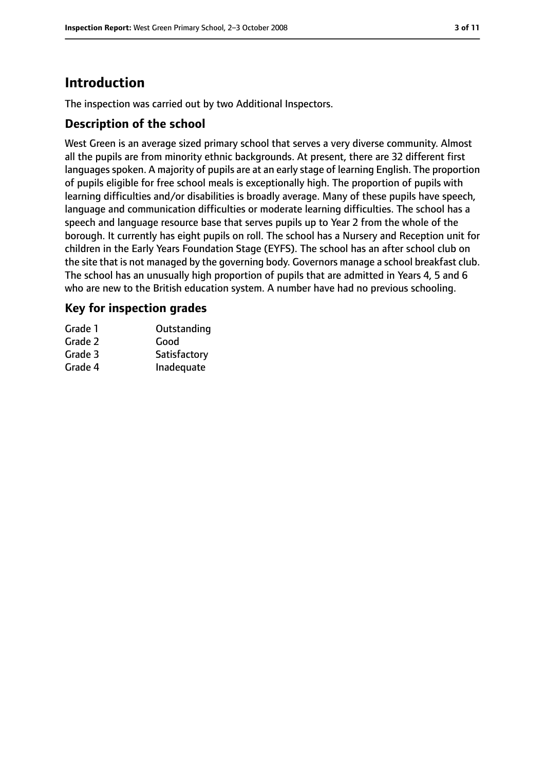# **Introduction**

The inspection was carried out by two Additional Inspectors.

#### **Description of the school**

West Green is an average sized primary school that serves a very diverse community. Almost all the pupils are from minority ethnic backgrounds. At present, there are 32 different first languages spoken. A majority of pupils are at an early stage of learning English. The proportion of pupils eligible for free school meals is exceptionally high. The proportion of pupils with learning difficulties and/or disabilities is broadly average. Many of these pupils have speech, language and communication difficulties or moderate learning difficulties. The school has a speech and language resource base that serves pupils up to Year 2 from the whole of the borough. It currently has eight pupils on roll. The school has a Nursery and Reception unit for children in the Early Years Foundation Stage (EYFS). The school has an after school club on the site that is not managed by the governing body. Governors manage a school breakfast club. The school has an unusually high proportion of pupils that are admitted in Years 4, 5 and 6 who are new to the British education system. A number have had no previous schooling.

#### **Key for inspection grades**

| Grade 1 | Outstanding  |
|---------|--------------|
| Grade 2 | Good         |
| Grade 3 | Satisfactory |
| Grade 4 | Inadequate   |
|         |              |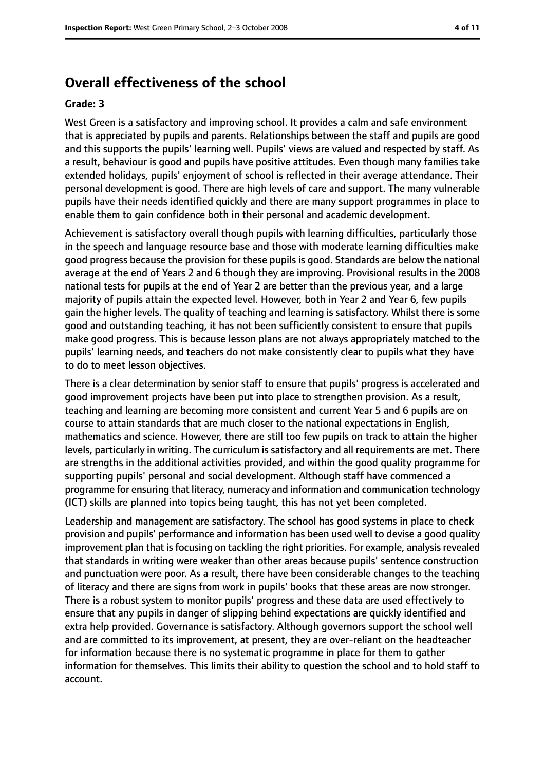#### **Overall effectiveness of the school**

#### **Grade: 3**

West Green is a satisfactory and improving school. It provides a calm and safe environment that is appreciated by pupils and parents. Relationships between the staff and pupils are good and this supports the pupils' learning well. Pupils' views are valued and respected by staff. As a result, behaviour is good and pupils have positive attitudes. Even though many families take extended holidays, pupils' enjoyment of school is reflected in their average attendance. Their personal development is good. There are high levels of care and support. The many vulnerable pupils have their needs identified quickly and there are many support programmes in place to enable them to gain confidence both in their personal and academic development.

Achievement is satisfactory overall though pupils with learning difficulties, particularly those in the speech and language resource base and those with moderate learning difficulties make good progress because the provision for these pupils is good. Standards are below the national average at the end of Years 2 and 6 though they are improving. Provisional results in the 2008 national tests for pupils at the end of Year 2 are better than the previous year, and a large majority of pupils attain the expected level. However, both in Year 2 and Year 6, few pupils gain the higher levels. The quality of teaching and learning is satisfactory. Whilst there is some good and outstanding teaching, it has not been sufficiently consistent to ensure that pupils make good progress. This is because lesson plans are not always appropriately matched to the pupils' learning needs, and teachers do not make consistently clear to pupils what they have to do to meet lesson objectives.

There is a clear determination by senior staff to ensure that pupils' progress is accelerated and good improvement projects have been put into place to strengthen provision. As a result, teaching and learning are becoming more consistent and current Year 5 and 6 pupils are on course to attain standards that are much closer to the national expectations in English, mathematics and science. However, there are still too few pupils on track to attain the higher levels, particularly in writing. The curriculum is satisfactory and all requirements are met. There are strengths in the additional activities provided, and within the good quality programme for supporting pupils' personal and social development. Although staff have commenced a programme for ensuring that literacy, numeracy and information and communication technology (ICT) skills are planned into topics being taught, this has not yet been completed.

Leadership and management are satisfactory. The school has good systems in place to check provision and pupils' performance and information has been used well to devise a good quality improvement plan that is focusing on tackling the right priorities. For example, analysis revealed that standards in writing were weaker than other areas because pupils' sentence construction and punctuation were poor. As a result, there have been considerable changes to the teaching of literacy and there are signs from work in pupils' books that these areas are now stronger. There is a robust system to monitor pupils' progress and these data are used effectively to ensure that any pupils in danger of slipping behind expectations are quickly identified and extra help provided. Governance is satisfactory. Although governors support the school well and are committed to its improvement, at present, they are over-reliant on the headteacher for information because there is no systematic programme in place for them to gather information for themselves. This limits their ability to question the school and to hold staff to account.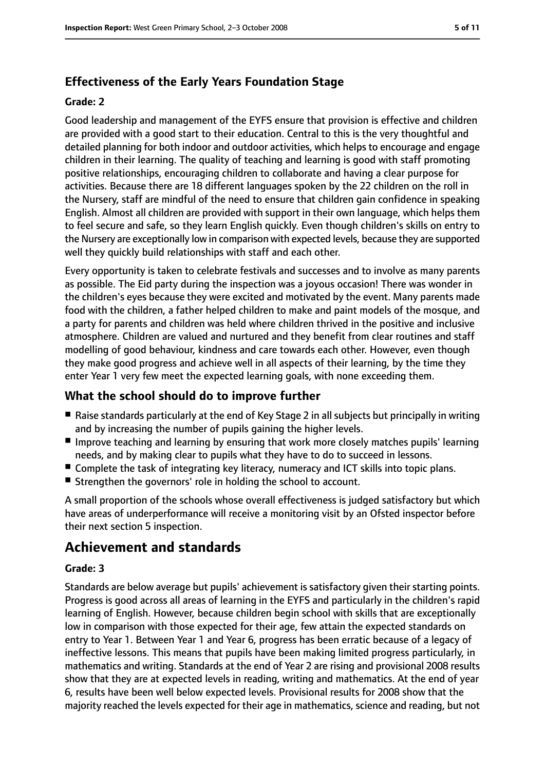### **Effectiveness of the Early Years Foundation Stage**

#### **Grade: 2**

Good leadership and management of the EYFS ensure that provision is effective and children are provided with a good start to their education. Central to this is the very thoughtful and detailed planning for both indoor and outdoor activities, which helps to encourage and engage children in their learning. The quality of teaching and learning is good with staff promoting positive relationships, encouraging children to collaborate and having a clear purpose for activities. Because there are 18 different languages spoken by the 22 children on the roll in the Nursery, staff are mindful of the need to ensure that children gain confidence in speaking English. Almost all children are provided with support in their own language, which helps them to feel secure and safe, so they learn English quickly. Even though children's skills on entry to the Nursery are exceptionally low in comparison with expected levels, because they are supported well they quickly build relationships with staff and each other.

Every opportunity is taken to celebrate festivals and successes and to involve as many parents as possible. The Eid party during the inspection was a joyous occasion! There was wonder in the children's eyes because they were excited and motivated by the event. Many parents made food with the children, a father helped children to make and paint models of the mosque, and a party for parents and children was held where children thrived in the positive and inclusive atmosphere. Children are valued and nurtured and they benefit from clear routines and staff modelling of good behaviour, kindness and care towards each other. However, even though they make good progress and achieve well in all aspects of their learning, by the time they enter Year 1 very few meet the expected learning goals, with none exceeding them.

#### **What the school should do to improve further**

- Raise standards particularly at the end of Key Stage 2 in all subjects but principally in writing and by increasing the number of pupils gaining the higher levels.
- Improve teaching and learning by ensuring that work more closely matches pupils' learning needs, and by making clear to pupils what they have to do to succeed in lessons.
- Complete the task of integrating key literacy, numeracy and ICT skills into topic plans.
- Strengthen the governors' role in holding the school to account.

A small proportion of the schools whose overall effectiveness is judged satisfactory but which have areas of underperformance will receive a monitoring visit by an Ofsted inspector before their next section 5 inspection.

# **Achievement and standards**

#### **Grade: 3**

Standards are below average but pupils' achievement is satisfactory given their starting points. Progress is good across all areas of learning in the EYFS and particularly in the children's rapid learning of English. However, because children begin school with skills that are exceptionally low in comparison with those expected for their age, few attain the expected standards on entry to Year 1. Between Year 1 and Year 6, progress has been erratic because of a legacy of ineffective lessons. This means that pupils have been making limited progress particularly, in mathematics and writing. Standards at the end of Year 2 are rising and provisional 2008 results show that they are at expected levels in reading, writing and mathematics. At the end of year 6, results have been well below expected levels. Provisional results for 2008 show that the majority reached the levels expected for their age in mathematics, science and reading, but not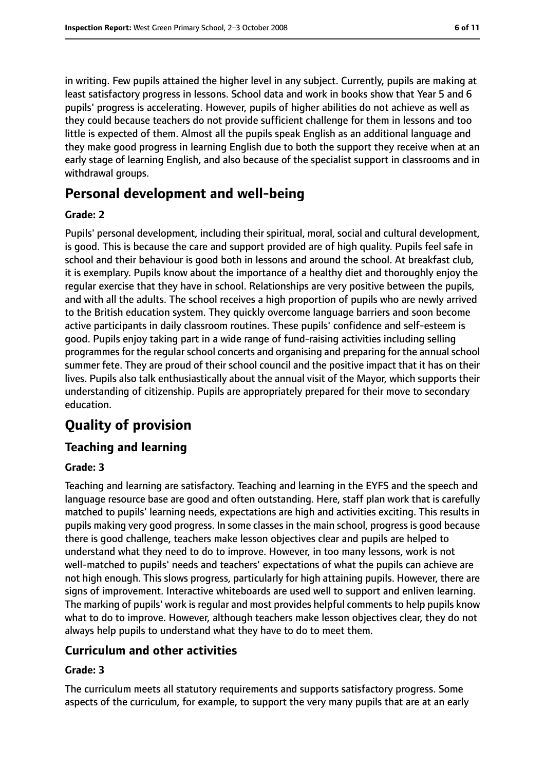in writing. Few pupils attained the higher level in any subject. Currently, pupils are making at least satisfactory progress in lessons. School data and work in books show that Year 5 and 6 pupils' progress is accelerating. However, pupils of higher abilities do not achieve as well as they could because teachers do not provide sufficient challenge for them in lessons and too little is expected of them. Almost all the pupils speak English as an additional language and they make good progress in learning English due to both the support they receive when at an early stage of learning English, and also because of the specialist support in classrooms and in withdrawal groups.

## **Personal development and well-being**

#### **Grade: 2**

Pupils' personal development, including their spiritual, moral, social and cultural development, is good. This is because the care and support provided are of high quality. Pupils feel safe in school and their behaviour is good both in lessons and around the school. At breakfast club, it is exemplary. Pupils know about the importance of a healthy diet and thoroughly enjoy the regular exercise that they have in school. Relationships are very positive between the pupils, and with all the adults. The school receives a high proportion of pupils who are newly arrived to the British education system. They quickly overcome language barriers and soon become active participants in daily classroom routines. These pupils' confidence and self-esteem is good. Pupils enjoy taking part in a wide range of fund-raising activities including selling programmes for the regular school concerts and organising and preparing for the annual school summer fete. They are proud of their school council and the positive impact that it has on their lives. Pupils also talk enthusiastically about the annual visit of the Mayor, which supports their understanding of citizenship. Pupils are appropriately prepared for their move to secondary education.

# **Quality of provision**

#### **Teaching and learning**

#### **Grade: 3**

Teaching and learning are satisfactory. Teaching and learning in the EYFS and the speech and language resource base are good and often outstanding. Here, staff plan work that is carefully matched to pupils' learning needs, expectations are high and activities exciting. This results in pupils making very good progress. In some classes in the main school, progress is good because there is good challenge, teachers make lesson objectives clear and pupils are helped to understand what they need to do to improve. However, in too many lessons, work is not well-matched to pupils' needs and teachers' expectations of what the pupils can achieve are not high enough. This slows progress, particularly for high attaining pupils. However, there are signs of improvement. Interactive whiteboards are used well to support and enliven learning. The marking of pupils' work is regular and most provides helpful comments to help pupils know what to do to improve. However, although teachers make lesson objectives clear, they do not always help pupils to understand what they have to do to meet them.

#### **Curriculum and other activities**

#### **Grade: 3**

The curriculum meets all statutory requirements and supports satisfactory progress. Some aspects of the curriculum, for example, to support the very many pupils that are at an early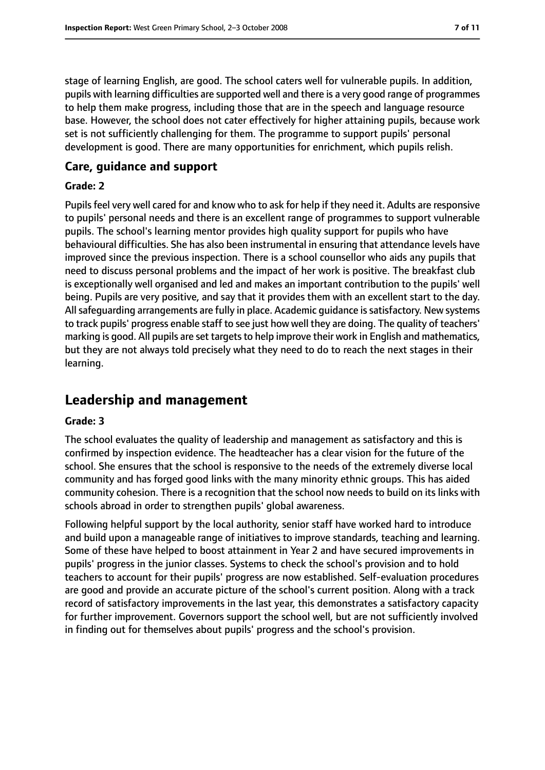stage of learning English, are good. The school caters well for vulnerable pupils. In addition, pupils with learning difficulties are supported well and there is a very good range of programmes to help them make progress, including those that are in the speech and language resource base. However, the school does not cater effectively for higher attaining pupils, because work set is not sufficiently challenging for them. The programme to support pupils' personal development is good. There are many opportunities for enrichment, which pupils relish.

#### **Care, guidance and support**

#### **Grade: 2**

Pupils feel very well cared for and know who to ask for help if they need it. Adults are responsive to pupils' personal needs and there is an excellent range of programmes to support vulnerable pupils. The school's learning mentor provides high quality support for pupils who have behavioural difficulties. She has also been instrumental in ensuring that attendance levels have improved since the previous inspection. There is a school counsellor who aids any pupils that need to discuss personal problems and the impact of her work is positive. The breakfast club is exceptionally well organised and led and makes an important contribution to the pupils' well being. Pupils are very positive, and say that it provides them with an excellent start to the day. All safequarding arrangements are fully in place. Academic quidance is satisfactory. New systems to track pupils' progress enable staff to see just how well they are doing. The quality of teachers' marking is good. All pupils are set targets to help improve their work in English and mathematics, but they are not always told precisely what they need to do to reach the next stages in their learning.

# **Leadership and management**

#### **Grade: 3**

The school evaluates the quality of leadership and management as satisfactory and this is confirmed by inspection evidence. The headteacher has a clear vision for the future of the school. She ensures that the school is responsive to the needs of the extremely diverse local community and has forged good links with the many minority ethnic groups. This has aided community cohesion. There is a recognition that the school now needs to build on its links with schools abroad in order to strengthen pupils' global awareness.

Following helpful support by the local authority, senior staff have worked hard to introduce and build upon a manageable range of initiatives to improve standards, teaching and learning. Some of these have helped to boost attainment in Year 2 and have secured improvements in pupils' progress in the junior classes. Systems to check the school's provision and to hold teachers to account for their pupils' progress are now established. Self-evaluation procedures are good and provide an accurate picture of the school's current position. Along with a track record of satisfactory improvements in the last year, this demonstrates a satisfactory capacity for further improvement. Governors support the school well, but are not sufficiently involved in finding out for themselves about pupils' progress and the school's provision.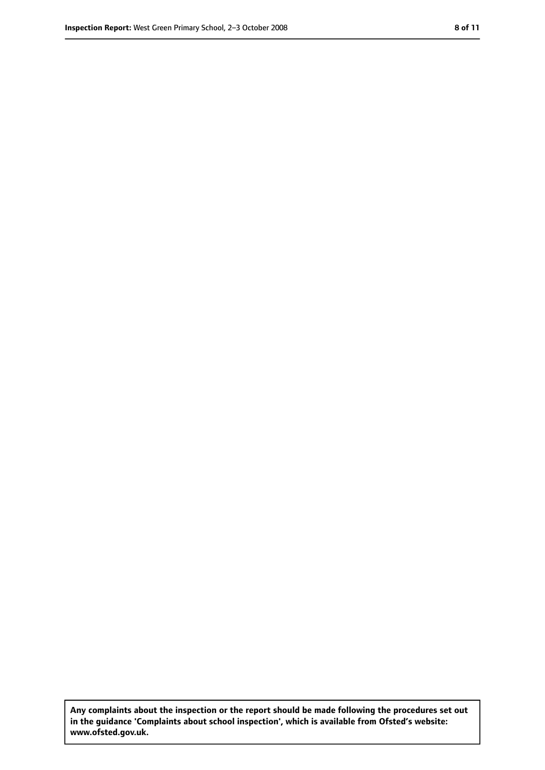**Any complaints about the inspection or the report should be made following the procedures set out in the guidance 'Complaints about school inspection', which is available from Ofsted's website: www.ofsted.gov.uk.**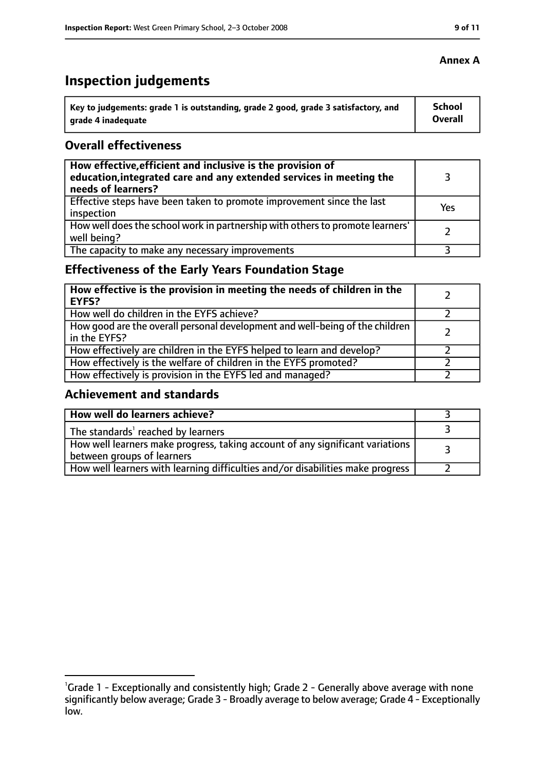# **Inspection judgements**

| $^{\backprime}$ Key to judgements: grade 1 is outstanding, grade 2 good, grade 3 satisfactory, and | School  |
|----------------------------------------------------------------------------------------------------|---------|
| arade 4 inadequate                                                                                 | Overall |

#### **Overall effectiveness**

| How effective, efficient and inclusive is the provision of<br>education, integrated care and any extended services in meeting the<br>needs of learners? |     |
|---------------------------------------------------------------------------------------------------------------------------------------------------------|-----|
| Effective steps have been taken to promote improvement since the last<br>inspection                                                                     | Yes |
| How well does the school work in partnership with others to promote learners'<br>well being?                                                            |     |
| The capacity to make any necessary improvements                                                                                                         |     |

### **Effectiveness of the Early Years Foundation Stage**

| How effective is the provision in meeting the needs of children in the<br><b>EYFS?</b>       |  |
|----------------------------------------------------------------------------------------------|--|
| How well do children in the EYFS achieve?                                                    |  |
| How good are the overall personal development and well-being of the children<br>in the EYFS? |  |
| How effectively are children in the EYFS helped to learn and develop?                        |  |
| How effectively is the welfare of children in the EYFS promoted?                             |  |
| How effectively is provision in the EYFS led and managed?                                    |  |

#### **Achievement and standards**

| How well do learners achieve?                                                                               |  |
|-------------------------------------------------------------------------------------------------------------|--|
| The standards <sup>1</sup> reached by learners                                                              |  |
| How well learners make progress, taking account of any significant variations<br>between groups of learners |  |
| How well learners with learning difficulties and/or disabilities make progress                              |  |

#### **Annex A**

<sup>&</sup>lt;sup>1</sup>Grade 1 - Exceptionally and consistently high; Grade 2 - Generally above average with none significantly below average; Grade 3 - Broadly average to below average; Grade 4 - Exceptionally low.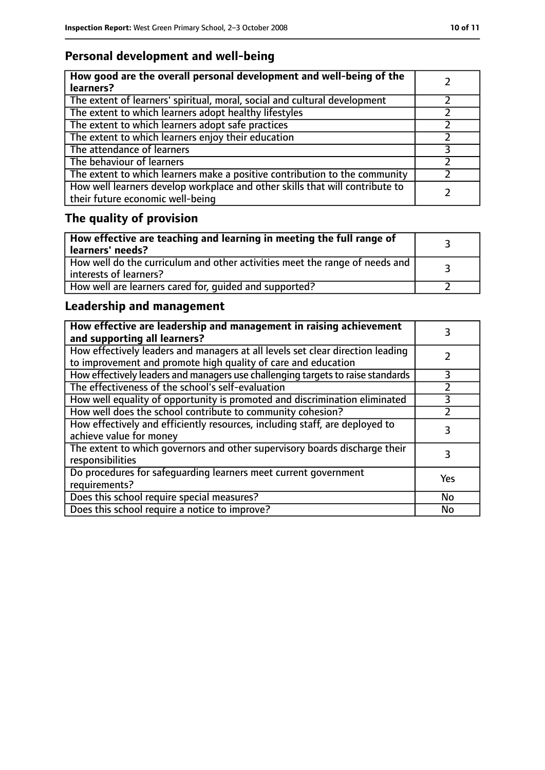### **Personal development and well-being**

| How good are the overall personal development and well-being of the<br>learners?                                 |  |
|------------------------------------------------------------------------------------------------------------------|--|
| The extent of learners' spiritual, moral, social and cultural development                                        |  |
| The extent to which learners adopt healthy lifestyles                                                            |  |
| The extent to which learners adopt safe practices                                                                |  |
| The extent to which learners enjoy their education                                                               |  |
| The attendance of learners                                                                                       |  |
| The behaviour of learners                                                                                        |  |
| The extent to which learners make a positive contribution to the community                                       |  |
| How well learners develop workplace and other skills that will contribute to<br>their future economic well-being |  |

# **The quality of provision**

| $\vert$ How effective are teaching and learning in meeting the full range of<br>  learners' needs?      |  |
|---------------------------------------------------------------------------------------------------------|--|
| How well do the curriculum and other activities meet the range of needs and<br>  interests of learners? |  |
| How well are learners cared for, quided and supported?                                                  |  |

### **Leadership and management**

| How effective are leadership and management in raising achievement<br>and supporting all learners?                                              |     |
|-------------------------------------------------------------------------------------------------------------------------------------------------|-----|
| How effectively leaders and managers at all levels set clear direction leading<br>to improvement and promote high quality of care and education |     |
| How effectively leaders and managers use challenging targets to raise standards                                                                 | 3   |
| The effectiveness of the school's self-evaluation                                                                                               |     |
| How well equality of opportunity is promoted and discrimination eliminated                                                                      |     |
| How well does the school contribute to community cohesion?                                                                                      |     |
| How effectively and efficiently resources, including staff, are deployed to<br>achieve value for money                                          | 3   |
| The extent to which governors and other supervisory boards discharge their<br>responsibilities                                                  |     |
| Do procedures for safequarding learners meet current government<br>requirements?                                                                | Yes |
| Does this school require special measures?                                                                                                      | No  |
| Does this school require a notice to improve?                                                                                                   | No  |